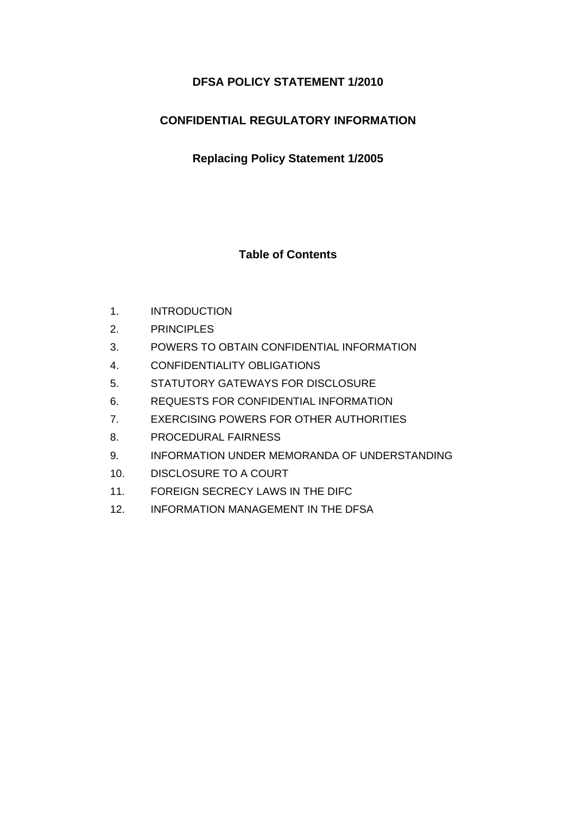# **DFSA POLICY STATEMENT 1/2010**

# **CONFIDENTIAL REGULATORY INFORMATION**

**Replacing Policy Statement 1/2005** 

**Table of Contents** 

- 1. INTRODUCTION
- 2. PRINCIPLES
- 3. POWERS TO OBTAIN CONFIDENTIAL INFORMATION
- 4. CONFIDENTIALITY OBLIGATIONS
- 5. STATUTORY GATEWAYS FOR DISCLOSURE
- 6. REQUESTS FOR CONFIDENTIAL INFORMATION
- 7. EXERCISING POWERS FOR OTHER AUTHORITIES
- 8. PROCEDURAL FAIRNESS
- 9. INFORMATION UNDER MEMORANDA OF UNDERSTANDING
- 10. DISCLOSURE TO A COURT
- 11. FOREIGN SECRECY LAWS IN THE DIFC
- 12. INFORMATION MANAGEMENT IN THE DFSA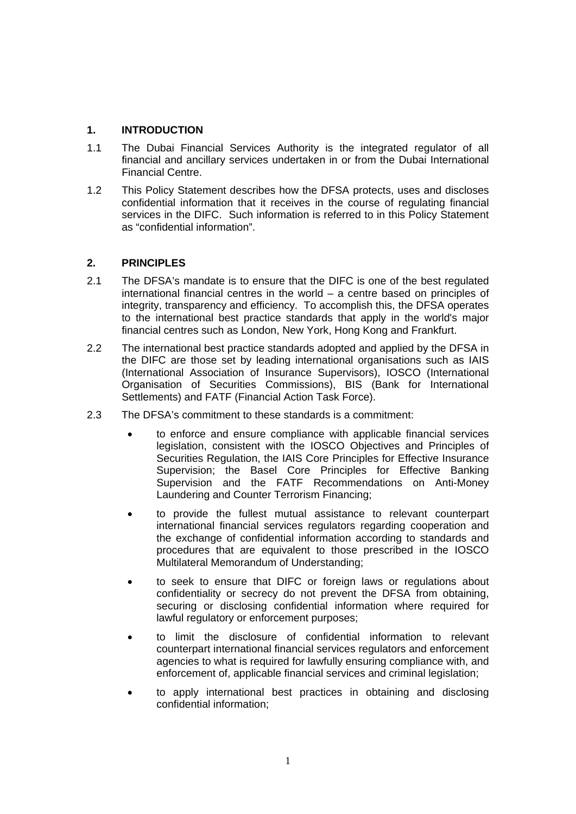## **1. INTRODUCTION**

- 1.1 The Dubai Financial Services Authority is the integrated regulator of all financial and ancillary services undertaken in or from the Dubai International Financial Centre.
- 1.2 This Policy Statement describes how the DFSA protects, uses and discloses confidential information that it receives in the course of regulating financial services in the DIFC. Such information is referred to in this Policy Statement as "confidential information".

## **2. PRINCIPLES**

- 2.1 The DFSA's mandate is to ensure that the DIFC is one of the best regulated international financial centres in the world – a centre based on principles of integrity, transparency and efficiency. To accomplish this, the DFSA operates to the international best practice standards that apply in the world's major financial centres such as London, New York, Hong Kong and Frankfurt.
- 2.2 The international best practice standards adopted and applied by the DFSA in the DIFC are those set by leading international organisations such as IAIS (International Association of Insurance Supervisors), IOSCO (International Organisation of Securities Commissions), BIS (Bank for International Settlements) and FATF (Financial Action Task Force).
- 2.3 The DFSA's commitment to these standards is a commitment:
	- to enforce and ensure compliance with applicable financial services legislation, consistent with the IOSCO Objectives and Principles of Securities Regulation, the IAIS Core Principles for Effective Insurance Supervision; the Basel Core Principles for Effective Banking Supervision and the FATF Recommendations on Anti-Money Laundering and Counter Terrorism Financing;
	- to provide the fullest mutual assistance to relevant counterpart international financial services regulators regarding cooperation and the exchange of confidential information according to standards and procedures that are equivalent to those prescribed in the IOSCO Multilateral Memorandum of Understanding;
	- to seek to ensure that DIFC or foreign laws or regulations about confidentiality or secrecy do not prevent the DFSA from obtaining, securing or disclosing confidential information where required for lawful regulatory or enforcement purposes;
	- to limit the disclosure of confidential information to relevant counterpart international financial services regulators and enforcement agencies to what is required for lawfully ensuring compliance with, and enforcement of, applicable financial services and criminal legislation;
	- to apply international best practices in obtaining and disclosing confidential information;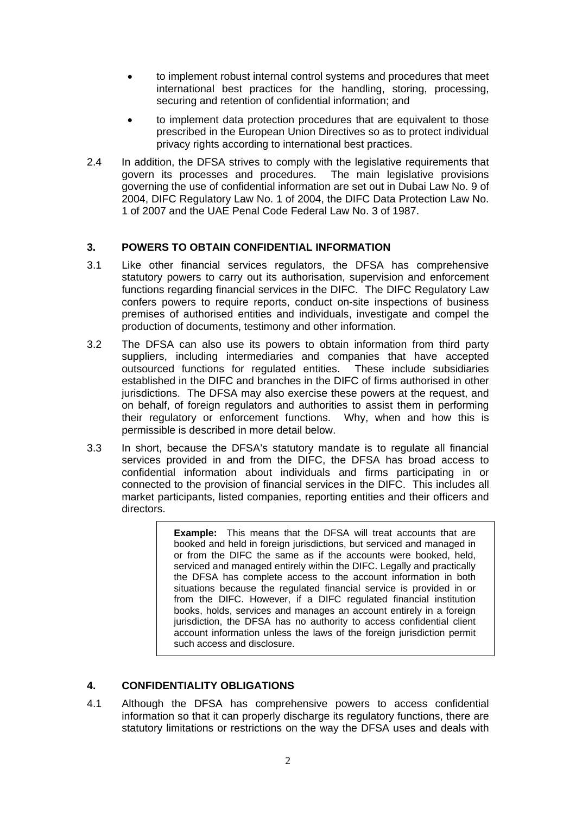- to implement robust internal control systems and procedures that meet international best practices for the handling, storing, processing, securing and retention of confidential information; and
- to implement data protection procedures that are equivalent to those prescribed in the European Union Directives so as to protect individual privacy rights according to international best practices.
- 2.4 In addition, the DFSA strives to comply with the legislative requirements that govern its processes and procedures. The main legislative provisions governing the use of confidential information are set out in Dubai Law No. 9 of 2004, DIFC Regulatory Law No. 1 of 2004, the DIFC Data Protection Law No. 1 of 2007 and the UAE Penal Code Federal Law No. 3 of 1987.

## **3. POWERS TO OBTAIN CONFIDENTIAL INFORMATION**

- 3.1 Like other financial services regulators, the DFSA has comprehensive statutory powers to carry out its authorisation, supervision and enforcement functions regarding financial services in the DIFC. The DIFC Regulatory Law confers powers to require reports, conduct on-site inspections of business premises of authorised entities and individuals, investigate and compel the production of documents, testimony and other information.
- 3.2 The DFSA can also use its powers to obtain information from third party suppliers, including intermediaries and companies that have accepted outsourced functions for regulated entities. These include subsidiaries established in the DIFC and branches in the DIFC of firms authorised in other jurisdictions. The DFSA may also exercise these powers at the request, and on behalf, of foreign regulators and authorities to assist them in performing their regulatory or enforcement functions. Why, when and how this is permissible is described in more detail below.
- 3.3 In short, because the DFSA's statutory mandate is to regulate all financial services provided in and from the DIFC, the DFSA has broad access to confidential information about individuals and firms participating in or connected to the provision of financial services in the DIFC. This includes all market participants, listed companies, reporting entities and their officers and directors.

**Example:** This means that the DFSA will treat accounts that are booked and held in foreign jurisdictions, but serviced and managed in or from the DIFC the same as if the accounts were booked, held, serviced and managed entirely within the DIFC. Legally and practically the DFSA has complete access to the account information in both situations because the regulated financial service is provided in or from the DIFC. However, if a DIFC regulated financial institution books, holds, services and manages an account entirely in a foreign jurisdiction, the DFSA has no authority to access confidential client account information unless the laws of the foreign jurisdiction permit such access and disclosure.

# **4. CONFIDENTIALITY OBLIGATIONS**

4.1 Although the DFSA has comprehensive powers to access confidential information so that it can properly discharge its regulatory functions, there are statutory limitations or restrictions on the way the DFSA uses and deals with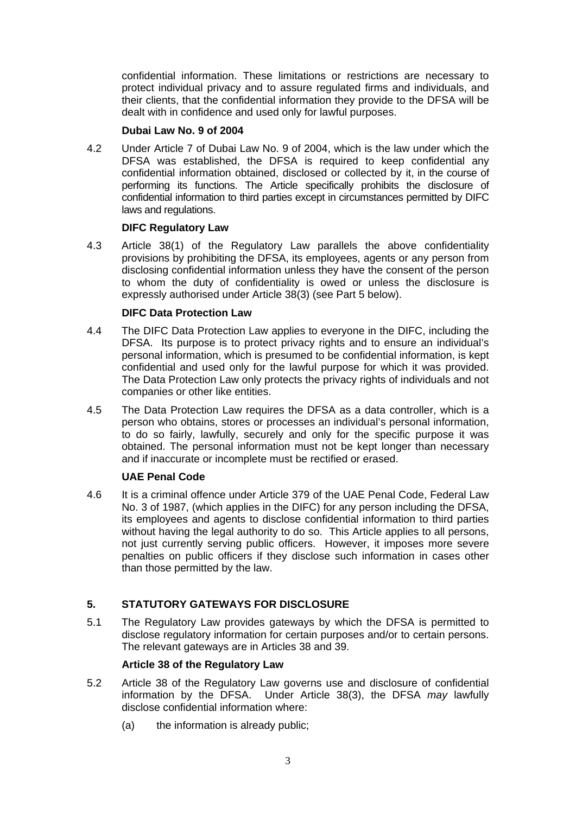confidential information. These limitations or restrictions are necessary to protect individual privacy and to assure regulated firms and individuals, and their clients, that the confidential information they provide to the DFSA will be dealt with in confidence and used only for lawful purposes.

### **Dubai Law No. 9 of 2004**

4.2 Under Article 7 of Dubai Law No. 9 of 2004, which is the law under which the DFSA was established, the DFSA is required to keep confidential any confidential information obtained, disclosed or collected by it, in the course of performing its functions. The Article specifically prohibits the disclosure of confidential information to third parties except in circumstances permitted by DIFC laws and regulations.

## **DIFC Regulatory Law**

4.3 Article 38(1) of the Regulatory Law parallels the above confidentiality provisions by prohibiting the DFSA, its employees, agents or any person from disclosing confidential information unless they have the consent of the person to whom the duty of confidentiality is owed or unless the disclosure is expressly authorised under Article 38(3) (see Part 5 below).

## **DIFC Data Protection Law**

- 4.4 The DIFC Data Protection Law applies to everyone in the DIFC, including the DFSA. Its purpose is to protect privacy rights and to ensure an individual's personal information, which is presumed to be confidential information, is kept confidential and used only for the lawful purpose for which it was provided. The Data Protection Law only protects the privacy rights of individuals and not companies or other like entities.
- 4.5 The Data Protection Law requires the DFSA as a data controller, which is a person who obtains, stores or processes an individual's personal information, to do so fairly, lawfully, securely and only for the specific purpose it was obtained. The personal information must not be kept longer than necessary and if inaccurate or incomplete must be rectified or erased.

# **UAE Penal Code**

4.6 It is a criminal offence under Article 379 of the UAE Penal Code, Federal Law No. 3 of 1987, (which applies in the DIFC) for any person including the DFSA, its employees and agents to disclose confidential information to third parties without having the legal authority to do so. This Article applies to all persons, not just currently serving public officers. However, it imposes more severe penalties on public officers if they disclose such information in cases other than those permitted by the law.

# **5. STATUTORY GATEWAYS FOR DISCLOSURE**

5.1 The Regulatory Law provides gateways by which the DFSA is permitted to disclose regulatory information for certain purposes and/or to certain persons. The relevant gateways are in Articles 38 and 39.

# **Article 38 of the Regulatory Law**

- 5.2 Article 38 of the Regulatory Law governs use and disclosure of confidential information by the DFSA. Under Article 38(3), the DFSA *may* lawfully disclose confidential information where:
	- (a) the information is already public;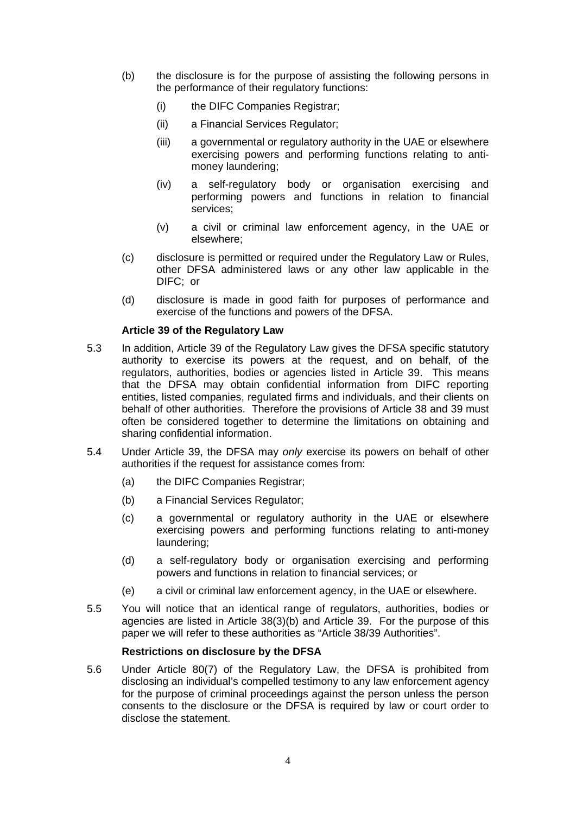- (b) the disclosure is for the purpose of assisting the following persons in the performance of their regulatory functions:
	- (i) the DIFC Companies Registrar;
	- (ii) a Financial Services Regulator;
	- (iii) a governmental or regulatory authority in the UAE or elsewhere exercising powers and performing functions relating to antimoney laundering;
	- (iv) a self-regulatory body or organisation exercising and performing powers and functions in relation to financial services;
	- (v) a civil or criminal law enforcement agency, in the UAE or elsewhere;
- (c) disclosure is permitted or required under the Regulatory Law or Rules, other DFSA administered laws or any other law applicable in the DIFC; or
- (d) disclosure is made in good faith for purposes of performance and exercise of the functions and powers of the DFSA.

#### **Article 39 of the Regulatory Law**

- 5.3 In addition, Article 39 of the Regulatory Law gives the DFSA specific statutory authority to exercise its powers at the request, and on behalf, of the regulators, authorities, bodies or agencies listed in Article 39. This means that the DFSA may obtain confidential information from DIFC reporting entities, listed companies, regulated firms and individuals, and their clients on behalf of other authorities. Therefore the provisions of Article 38 and 39 must often be considered together to determine the limitations on obtaining and sharing confidential information.
- 5.4 Under Article 39, the DFSA may *only* exercise its powers on behalf of other authorities if the request for assistance comes from:
	- (a) the DIFC Companies Registrar;
	- (b) a Financial Services Regulator;
	- (c) a governmental or regulatory authority in the UAE or elsewhere exercising powers and performing functions relating to anti-money laundering;
	- (d) a self-regulatory body or organisation exercising and performing powers and functions in relation to financial services; or
	- (e) a civil or criminal law enforcement agency, in the UAE or elsewhere.
- 5.5 You will notice that an identical range of regulators, authorities, bodies or agencies are listed in Article 38(3)(b) and Article 39. For the purpose of this paper we will refer to these authorities as "Article 38/39 Authorities".

#### **Restrictions on disclosure by the DFSA**

5.6 Under Article 80(7) of the Regulatory Law, the DFSA is prohibited from disclosing an individual's compelled testimony to any law enforcement agency for the purpose of criminal proceedings against the person unless the person consents to the disclosure or the DFSA is required by law or court order to disclose the statement.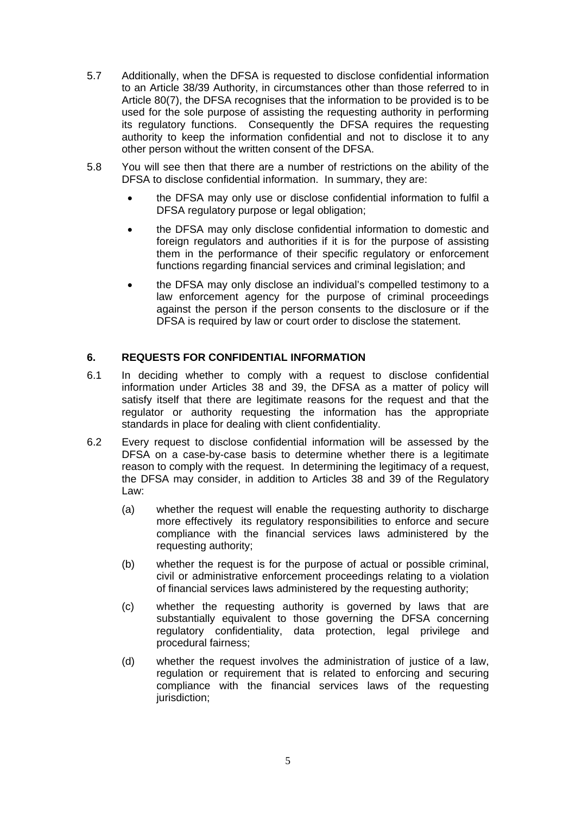- 5.7 Additionally, when the DFSA is requested to disclose confidential information to an Article 38/39 Authority, in circumstances other than those referred to in Article 80(7), the DFSA recognises that the information to be provided is to be used for the sole purpose of assisting the requesting authority in performing its regulatory functions. Consequently the DFSA requires the requesting authority to keep the information confidential and not to disclose it to any other person without the written consent of the DFSA.
- 5.8 You will see then that there are a number of restrictions on the ability of the DFSA to disclose confidential information. In summary, they are:
	- the DFSA may only use or disclose confidential information to fulfil a DFSA regulatory purpose or legal obligation;
	- the DFSA may only disclose confidential information to domestic and foreign regulators and authorities if it is for the purpose of assisting them in the performance of their specific regulatory or enforcement functions regarding financial services and criminal legislation; and
	- the DFSA may only disclose an individual's compelled testimony to a law enforcement agency for the purpose of criminal proceedings against the person if the person consents to the disclosure or if the DFSA is required by law or court order to disclose the statement.

## **6. REQUESTS FOR CONFIDENTIAL INFORMATION**

- 6.1 In deciding whether to comply with a request to disclose confidential information under Articles 38 and 39, the DFSA as a matter of policy will satisfy itself that there are legitimate reasons for the request and that the regulator or authority requesting the information has the appropriate standards in place for dealing with client confidentiality.
- 6.2 Every request to disclose confidential information will be assessed by the DFSA on a case-by-case basis to determine whether there is a legitimate reason to comply with the request. In determining the legitimacy of a request, the DFSA may consider, in addition to Articles 38 and 39 of the Regulatory Law:
	- (a) whether the request will enable the requesting authority to discharge more effectively its regulatory responsibilities to enforce and secure compliance with the financial services laws administered by the requesting authority;
	- (b) whether the request is for the purpose of actual or possible criminal, civil or administrative enforcement proceedings relating to a violation of financial services laws administered by the requesting authority;
	- (c) whether the requesting authority is governed by laws that are substantially equivalent to those governing the DFSA concerning regulatory confidentiality, data protection, legal privilege and procedural fairness;
	- (d) whether the request involves the administration of justice of a law, regulation or requirement that is related to enforcing and securing compliance with the financial services laws of the requesting jurisdiction: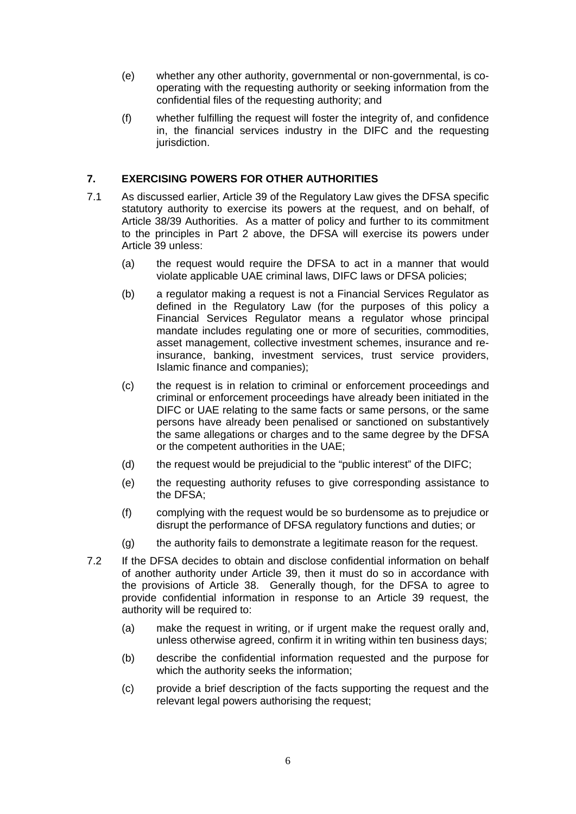- (e) whether any other authority, governmental or non-governmental, is cooperating with the requesting authority or seeking information from the confidential files of the requesting authority; and
- (f) whether fulfilling the request will foster the integrity of, and confidence in, the financial services industry in the DIFC and the requesting jurisdiction.

## **7. EXERCISING POWERS FOR OTHER AUTHORITIES**

- 7.1 As discussed earlier, Article 39 of the Regulatory Law gives the DFSA specific statutory authority to exercise its powers at the request, and on behalf, of Article 38/39 Authorities. As a matter of policy and further to its commitment to the principles in Part 2 above, the DFSA will exercise its powers under Article 39 unless:
	- (a) the request would require the DFSA to act in a manner that would violate applicable UAE criminal laws, DIFC laws or DFSA policies;
	- (b) a regulator making a request is not a Financial Services Regulator as defined in the Regulatory Law (for the purposes of this policy a Financial Services Regulator means a regulator whose principal mandate includes regulating one or more of securities, commodities, asset management, collective investment schemes, insurance and reinsurance, banking, investment services, trust service providers, Islamic finance and companies);
	- (c) the request is in relation to criminal or enforcement proceedings and criminal or enforcement proceedings have already been initiated in the DIFC or UAE relating to the same facts or same persons, or the same persons have already been penalised or sanctioned on substantively the same allegations or charges and to the same degree by the DFSA or the competent authorities in the UAE;
	- (d) the request would be prejudicial to the "public interest" of the DIFC;
	- (e) the requesting authority refuses to give corresponding assistance to the DFSA;
	- (f) complying with the request would be so burdensome as to prejudice or disrupt the performance of DFSA regulatory functions and duties; or
	- (g) the authority fails to demonstrate a legitimate reason for the request.
- 7.2 If the DFSA decides to obtain and disclose confidential information on behalf of another authority under Article 39, then it must do so in accordance with the provisions of Article 38. Generally though, for the DFSA to agree to provide confidential information in response to an Article 39 request, the authority will be required to:
	- (a) make the request in writing, or if urgent make the request orally and, unless otherwise agreed, confirm it in writing within ten business days;
	- (b) describe the confidential information requested and the purpose for which the authority seeks the information;
	- (c) provide a brief description of the facts supporting the request and the relevant legal powers authorising the request;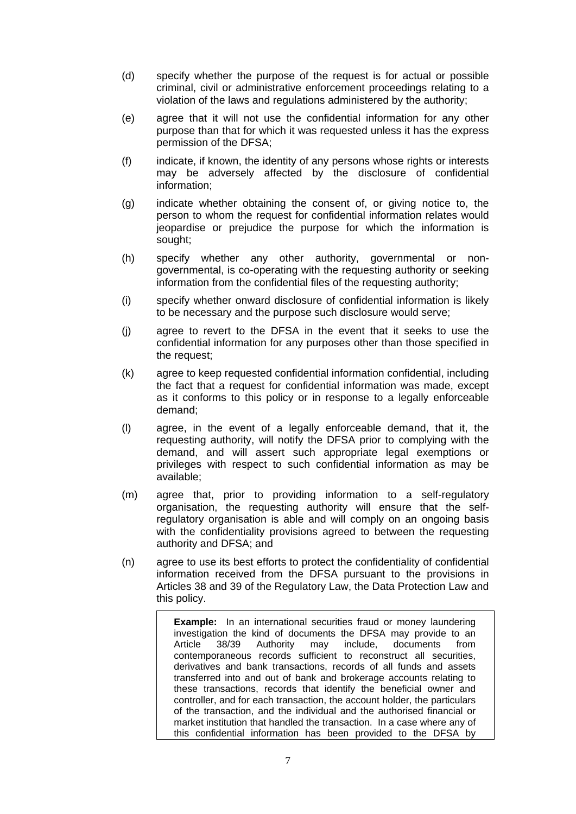- (d) specify whether the purpose of the request is for actual or possible criminal, civil or administrative enforcement proceedings relating to a violation of the laws and regulations administered by the authority;
- (e) agree that it will not use the confidential information for any other purpose than that for which it was requested unless it has the express permission of the DFSA;
- (f) indicate, if known, the identity of any persons whose rights or interests may be adversely affected by the disclosure of confidential information;
- (g) indicate whether obtaining the consent of, or giving notice to, the person to whom the request for confidential information relates would jeopardise or prejudice the purpose for which the information is sought;
- (h) specify whether any other authority, governmental or nongovernmental, is co-operating with the requesting authority or seeking information from the confidential files of the requesting authority;
- (i) specify whether onward disclosure of confidential information is likely to be necessary and the purpose such disclosure would serve;
- (j) agree to revert to the DFSA in the event that it seeks to use the confidential information for any purposes other than those specified in the request;
- (k) agree to keep requested confidential information confidential, including the fact that a request for confidential information was made, except as it conforms to this policy or in response to a legally enforceable demand;
- (l) agree, in the event of a legally enforceable demand, that it, the requesting authority, will notify the DFSA prior to complying with the demand, and will assert such appropriate legal exemptions or privileges with respect to such confidential information as may be available;
- (m) agree that, prior to providing information to a self-regulatory organisation, the requesting authority will ensure that the selfregulatory organisation is able and will comply on an ongoing basis with the confidentiality provisions agreed to between the requesting authority and DFSA; and
- (n) agree to use its best efforts to protect the confidentiality of confidential information received from the DFSA pursuant to the provisions in Articles 38 and 39 of the Regulatory Law, the Data Protection Law and this policy.

**Example:** In an international securities fraud or money laundering investigation the kind of documents the DFSA may provide to an Article 38/39 Authority may include, documents from contemporaneous records sufficient to reconstruct all securities, derivatives and bank transactions, records of all funds and assets transferred into and out of bank and brokerage accounts relating to these transactions, records that identify the beneficial owner and controller, and for each transaction, the account holder, the particulars of the transaction, and the individual and the authorised financial or market institution that handled the transaction. In a case where any of this confidential information has been provided to the DFSA by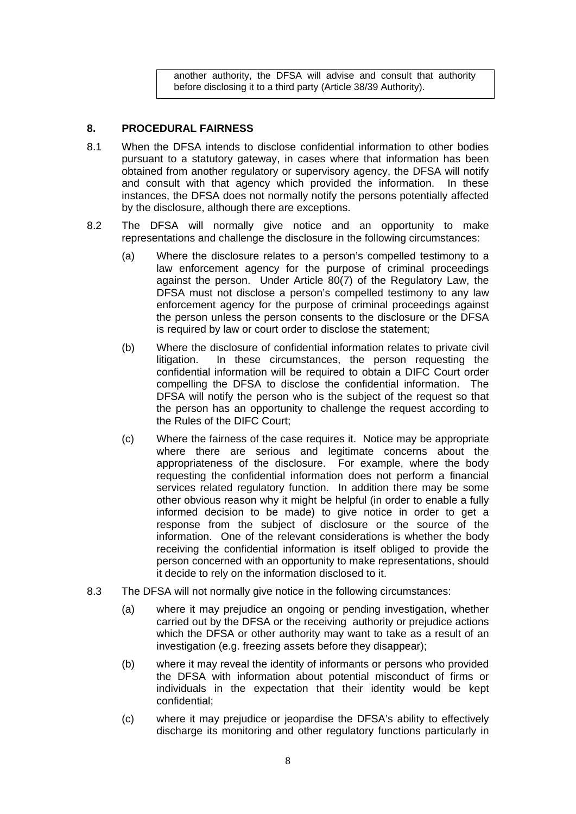another authority, the DFSA will advise and consult that authority before disclosing it to a third party (Article 38/39 Authority).

### **8. PROCEDURAL FAIRNESS**

- 8.1 When the DFSA intends to disclose confidential information to other bodies pursuant to a statutory gateway, in cases where that information has been obtained from another regulatory or supervisory agency, the DFSA will notify and consult with that agency which provided the information. In these instances, the DFSA does not normally notify the persons potentially affected by the disclosure, although there are exceptions.
- 8.2 The DFSA will normally give notice and an opportunity to make representations and challenge the disclosure in the following circumstances:
	- (a) Where the disclosure relates to a person's compelled testimony to a law enforcement agency for the purpose of criminal proceedings against the person. Under Article 80(7) of the Regulatory Law, the DFSA must not disclose a person's compelled testimony to any law enforcement agency for the purpose of criminal proceedings against the person unless the person consents to the disclosure or the DFSA is required by law or court order to disclose the statement;
	- (b) Where the disclosure of confidential information relates to private civil litigation. In these circumstances, the person requesting the confidential information will be required to obtain a DIFC Court order compelling the DFSA to disclose the confidential information. The DFSA will notify the person who is the subject of the request so that the person has an opportunity to challenge the request according to the Rules of the DIFC Court;
	- (c) Where the fairness of the case requires it. Notice may be appropriate where there are serious and legitimate concerns about the appropriateness of the disclosure. For example, where the body requesting the confidential information does not perform a financial services related regulatory function. In addition there may be some other obvious reason why it might be helpful (in order to enable a fully informed decision to be made) to give notice in order to get a response from the subject of disclosure or the source of the information. One of the relevant considerations is whether the body receiving the confidential information is itself obliged to provide the person concerned with an opportunity to make representations, should it decide to rely on the information disclosed to it.
- 8.3 The DFSA will not normally give notice in the following circumstances:
	- (a) where it may prejudice an ongoing or pending investigation, whether carried out by the DFSA or the receiving authority or prejudice actions which the DFSA or other authority may want to take as a result of an investigation (e.g. freezing assets before they disappear);
	- (b) where it may reveal the identity of informants or persons who provided the DFSA with information about potential misconduct of firms or individuals in the expectation that their identity would be kept confidential;
	- (c) where it may prejudice or jeopardise the DFSA's ability to effectively discharge its monitoring and other regulatory functions particularly in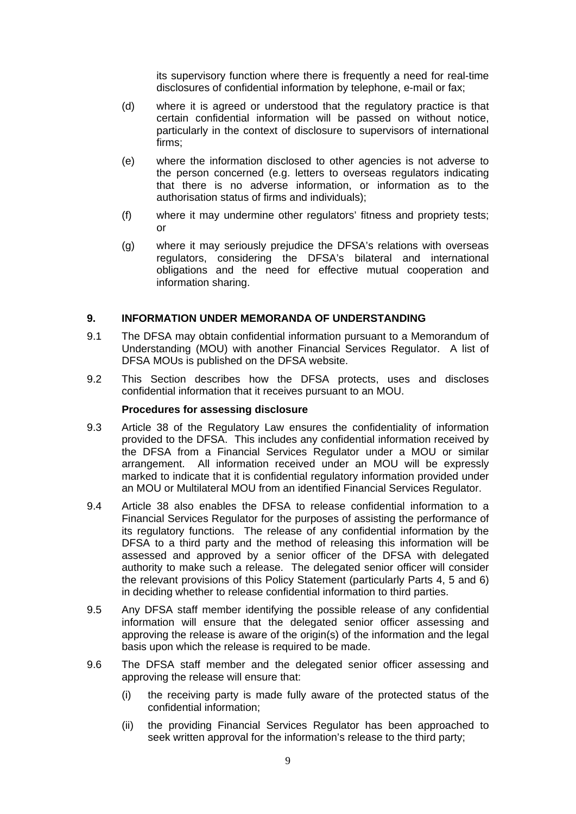its supervisory function where there is frequently a need for real-time disclosures of confidential information by telephone, e-mail or fax;

- (d) where it is agreed or understood that the regulatory practice is that certain confidential information will be passed on without notice, particularly in the context of disclosure to supervisors of international firms;
- (e) where the information disclosed to other agencies is not adverse to the person concerned (e.g. letters to overseas regulators indicating that there is no adverse information, or information as to the authorisation status of firms and individuals);
- (f) where it may undermine other regulators' fitness and propriety tests; or
- (g) where it may seriously prejudice the DFSA's relations with overseas regulators, considering the DFSA's bilateral and international obligations and the need for effective mutual cooperation and information sharing.

### **9. INFORMATION UNDER MEMORANDA OF UNDERSTANDING**

- 9.1 The DFSA may obtain confidential information pursuant to a Memorandum of Understanding (MOU) with another Financial Services Regulator. A list of DFSA MOUs is published on the DFSA website.
- 9.2 This Section describes how the DFSA protects, uses and discloses confidential information that it receives pursuant to an MOU.

#### **Procedures for assessing disclosure**

- 9.3 Article 38 of the Regulatory Law ensures the confidentiality of information provided to the DFSA. This includes any confidential information received by the DFSA from a Financial Services Regulator under a MOU or similar arrangement. All information received under an MOU will be expressly marked to indicate that it is confidential regulatory information provided under an MOU or Multilateral MOU from an identified Financial Services Regulator.
- 9.4 Article 38 also enables the DFSA to release confidential information to a Financial Services Regulator for the purposes of assisting the performance of its regulatory functions. The release of any confidential information by the DFSA to a third party and the method of releasing this information will be assessed and approved by a senior officer of the DFSA with delegated authority to make such a release. The delegated senior officer will consider the relevant provisions of this Policy Statement (particularly Parts 4, 5 and 6) in deciding whether to release confidential information to third parties.
- 9.5 Any DFSA staff member identifying the possible release of any confidential information will ensure that the delegated senior officer assessing and approving the release is aware of the origin(s) of the information and the legal basis upon which the release is required to be made.
- 9.6 The DFSA staff member and the delegated senior officer assessing and approving the release will ensure that:
	- (i) the receiving party is made fully aware of the protected status of the confidential information;
	- (ii) the providing Financial Services Regulator has been approached to seek written approval for the information's release to the third party;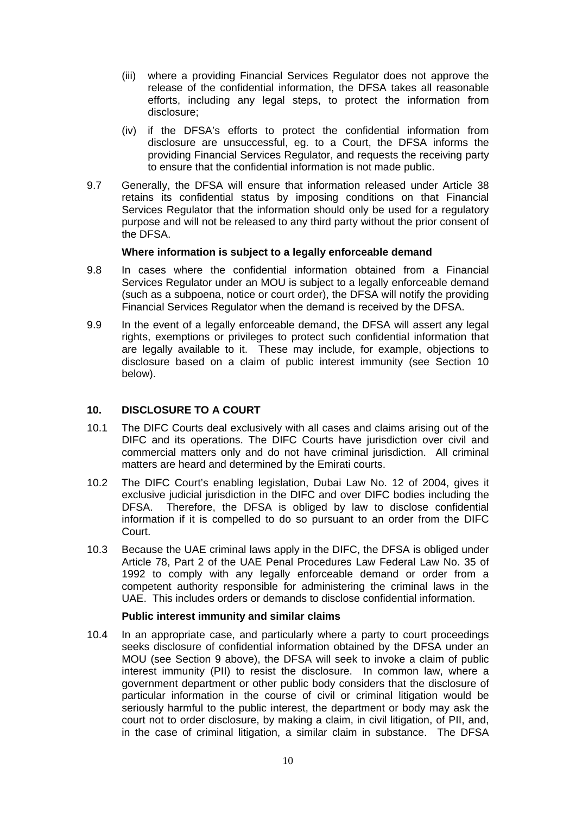- (iii) where a providing Financial Services Regulator does not approve the release of the confidential information, the DFSA takes all reasonable efforts, including any legal steps, to protect the information from disclosure;
- (iv) if the DFSA's efforts to protect the confidential information from disclosure are unsuccessful, eg. to a Court, the DFSA informs the providing Financial Services Regulator, and requests the receiving party to ensure that the confidential information is not made public.
- 9.7 Generally, the DFSA will ensure that information released under Article 38 retains its confidential status by imposing conditions on that Financial Services Regulator that the information should only be used for a regulatory purpose and will not be released to any third party without the prior consent of the DFSA.

### **Where information is subject to a legally enforceable demand**

- 9.8 In cases where the confidential information obtained from a Financial Services Regulator under an MOU is subject to a legally enforceable demand (such as a subpoena, notice or court order), the DFSA will notify the providing Financial Services Regulator when the demand is received by the DFSA.
- 9.9 In the event of a legally enforceable demand, the DFSA will assert any legal rights, exemptions or privileges to protect such confidential information that are legally available to it. These may include, for example, objections to disclosure based on a claim of public interest immunity (see Section 10 below).

### **10. DISCLOSURE TO A COURT**

- 10.1 The DIFC Courts deal exclusively with all cases and claims arising out of the DIFC and its operations. The DIFC Courts have jurisdiction over civil and commercial matters only and do not have criminal jurisdiction. All criminal matters are heard and determined by the Emirati courts.
- 10.2 The DIFC Court's enabling legislation, Dubai Law No. 12 of 2004, gives it exclusive judicial jurisdiction in the DIFC and over DIFC bodies including the DFSA. Therefore, the DFSA is obliged by law to disclose confidential information if it is compelled to do so pursuant to an order from the DIFC Court.
- 10.3 Because the UAE criminal laws apply in the DIFC, the DFSA is obliged under Article 78, Part 2 of the UAE Penal Procedures Law Federal Law No. 35 of 1992 to comply with any legally enforceable demand or order from a competent authority responsible for administering the criminal laws in the UAE. This includes orders or demands to disclose confidential information.

#### **Public interest immunity and similar claims**

10.4 In an appropriate case, and particularly where a party to court proceedings seeks disclosure of confidential information obtained by the DFSA under an MOU (see Section 9 above), the DFSA will seek to invoke a claim of public interest immunity (PII) to resist the disclosure. In common law, where a government department or other public body considers that the disclosure of particular information in the course of civil or criminal litigation would be seriously harmful to the public interest, the department or body may ask the court not to order disclosure, by making a claim, in civil litigation, of PII, and, in the case of criminal litigation, a similar claim in substance. The DFSA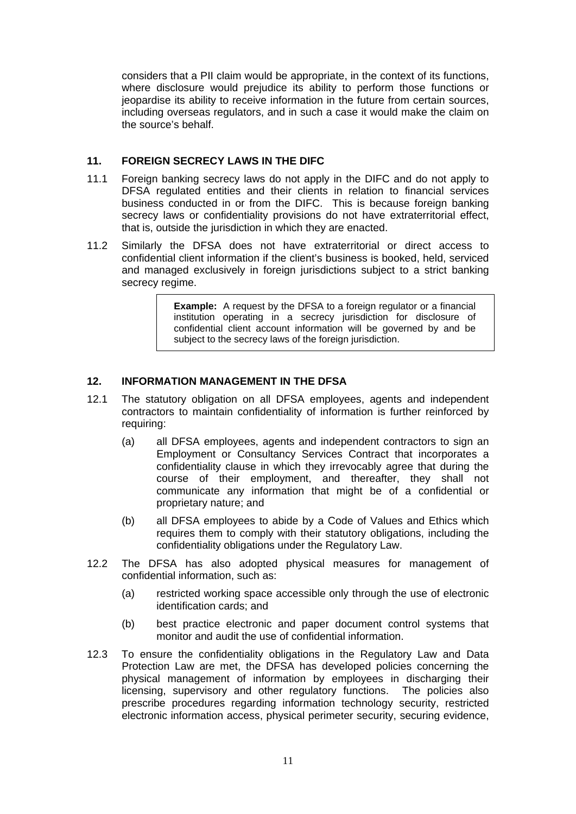considers that a PII claim would be appropriate, in the context of its functions, where disclosure would prejudice its ability to perform those functions or jeopardise its ability to receive information in the future from certain sources, including overseas regulators, and in such a case it would make the claim on the source's behalf.

### **11. FOREIGN SECRECY LAWS IN THE DIFC**

- 11.1 Foreign banking secrecy laws do not apply in the DIFC and do not apply to DFSA regulated entities and their clients in relation to financial services business conducted in or from the DIFC. This is because foreign banking secrecy laws or confidentiality provisions do not have extraterritorial effect, that is, outside the jurisdiction in which they are enacted.
- 11.2 Similarly the DFSA does not have extraterritorial or direct access to confidential client information if the client's business is booked, held, serviced and managed exclusively in foreign jurisdictions subject to a strict banking secrecy regime.

**Example:** A request by the DFSA to a foreign regulator or a financial institution operating in a secrecy jurisdiction for disclosure of confidential client account information will be governed by and be subject to the secrecy laws of the foreign jurisdiction.

### **12. INFORMATION MANAGEMENT IN THE DFSA**

- 12.1 The statutory obligation on all DFSA employees, agents and independent contractors to maintain confidentiality of information is further reinforced by requiring:
	- (a) all DFSA employees, agents and independent contractors to sign an Employment or Consultancy Services Contract that incorporates a confidentiality clause in which they irrevocably agree that during the course of their employment, and thereafter, they shall not communicate any information that might be of a confidential or proprietary nature; and
	- (b) all DFSA employees to abide by a Code of Values and Ethics which requires them to comply with their statutory obligations, including the confidentiality obligations under the Regulatory Law.
- 12.2 The DFSA has also adopted physical measures for management of confidential information, such as:
	- (a) restricted working space accessible only through the use of electronic identification cards; and
	- (b) best practice electronic and paper document control systems that monitor and audit the use of confidential information.
- 12.3 To ensure the confidentiality obligations in the Regulatory Law and Data Protection Law are met, the DFSA has developed policies concerning the physical management of information by employees in discharging their licensing, supervisory and other regulatory functions. The policies also prescribe procedures regarding information technology security, restricted electronic information access, physical perimeter security, securing evidence,